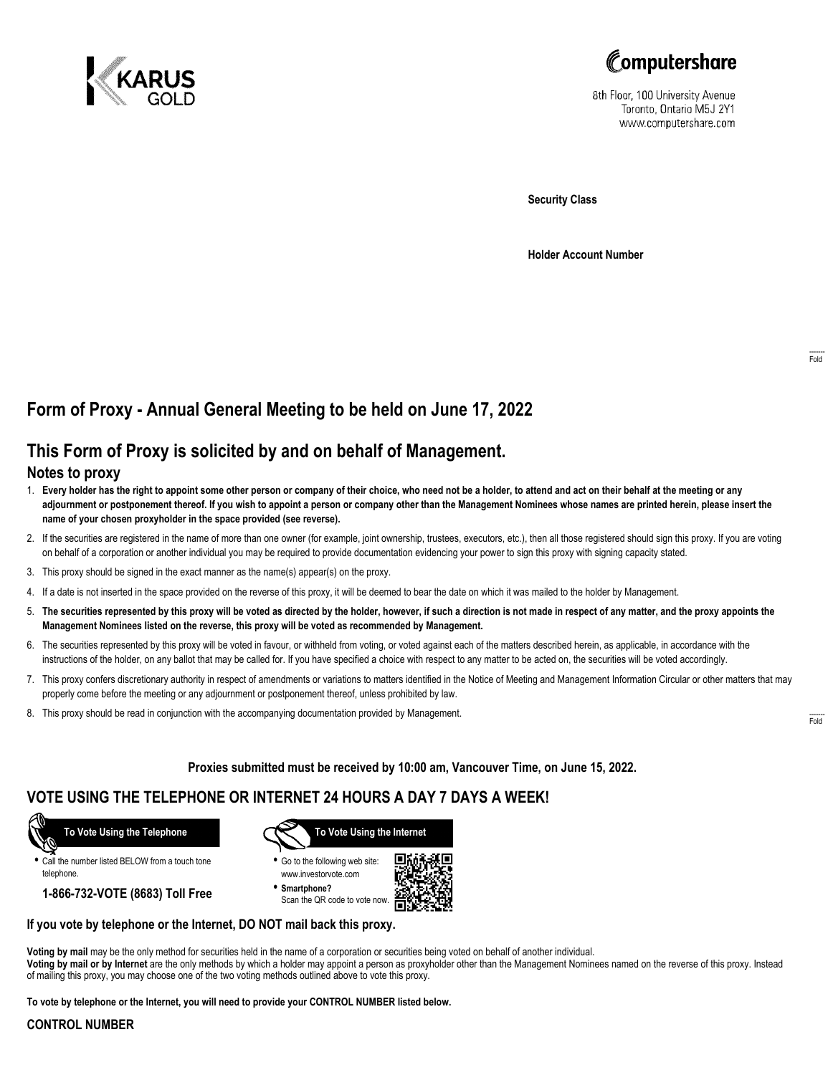



8th Floor, 100 University Avenue Toronto, Ontario M5J 2Y1 www.computershare.com

**Security Class**

**Holder Account Number**

# **Form of Proxy - Annual General Meeting to be held on June 17, 2022**

## **This Form of Proxy is solicited by and on behalf of Management.**

### **Notes to proxy**

- 1. **Every holder has the right to appoint some other person or company of their choice, who need not be a holder, to attend and act on their behalf at the meeting or any adjournment or postponement thereof. If you wish to appoint a person or company other than the Management Nominees whose names are printed herein, please insert the name of your chosen proxyholder in the space provided (see reverse).**
- 2. If the securities are registered in the name of more than one owner (for example, joint ownership, trustees, executors, etc.), then all those registered should sign this proxy. If you are voting on behalf of a corporation or another individual you may be required to provide documentation evidencing your power to sign this proxy with signing capacity stated.
- 3. This proxy should be signed in the exact manner as the name(s) appear(s) on the proxy.
- 4. If a date is not inserted in the space provided on the reverse of this proxy, it will be deemed to bear the date on which it was mailed to the holder by Management.
- 5. **The securities represented by this proxy will be voted as directed by the holder, however, if such a direction is not made in respect of any matter, and the proxy appoints the Management Nominees listed on the reverse, this proxy will be voted as recommended by Management.**
- 6. The securities represented by this proxy will be voted in favour, or withheld from voting, or voted against each of the matters described herein, as applicable, in accordance with the instructions of the holder, on any ballot that may be called for. If you have specified a choice with respect to any matter to be acted on, the securities will be voted accordingly.
- 7. This proxy confers discretionary authority in respect of amendments or variations to matters identified in the Notice of Meeting and Management Information Circular or other matters that may properly come before the meeting or any adjournment or postponement thereof, unless prohibited by law.
- 8. This proxy should be read in conjunction with the accompanying documentation provided by Management.

**Proxies submitted must be received by 10:00 am, Vancouver Time, on June 15, 2022.**

## **VOTE USING THE TELEPHONE OR INTERNET 24 HOURS A DAY 7 DAYS A WEEK!**



**•** Call the number listed BELOW from a touch tone telephone.

**1-866-732-VOTE (8683) Toll Free**



**•** Go to the following web site: www.investorvote.com

**• Smartphone?** Scan the QR code to vote now.



#### **If you vote by telephone or the Internet, DO NOT mail back this proxy.**

**Voting by mail** may be the only method for securities held in the name of a corporation or securities being voted on behalf of another individual. **Voting by mail or by Internet** are the only methods by which a holder may appoint a person as proxyholder other than the Management Nominees named on the reverse of this proxy. Instead of mailing this proxy, you may choose one of the two voting methods outlined above to vote this proxy.

**To vote by telephone or the Internet, you will need to provide your CONTROL NUMBER listed below.**

#### **CONTROL NUMBER**